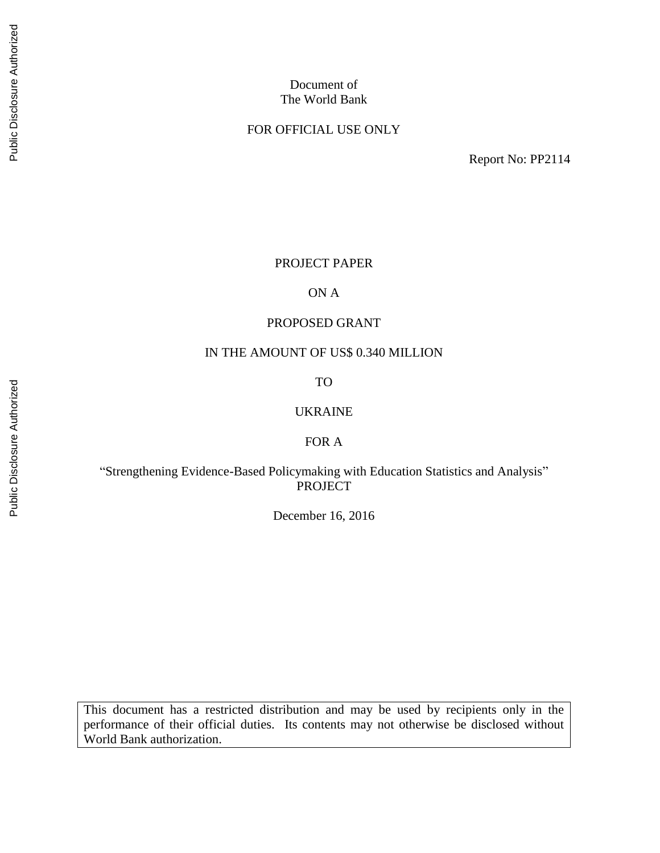#### Document of The World Bank

#### FOR OFFICIAL USE ONLY

Report No: PP2114

## PROJECT PAPER

#### ON A

#### PROPOSED GRANT

#### IN THE AMOUNT OF US\$ 0.340 MILLION

#### TO

#### UKRAINE

#### FOR A

## "Strengthening Evidence-Based Policymaking with Education Statistics and Analysis" PROJECT

December 16, 2016

This document has a restricted distribution and may be used by recipients only in the performance of their official duties. Its contents may not otherwise be disclosed without World Bank authorization.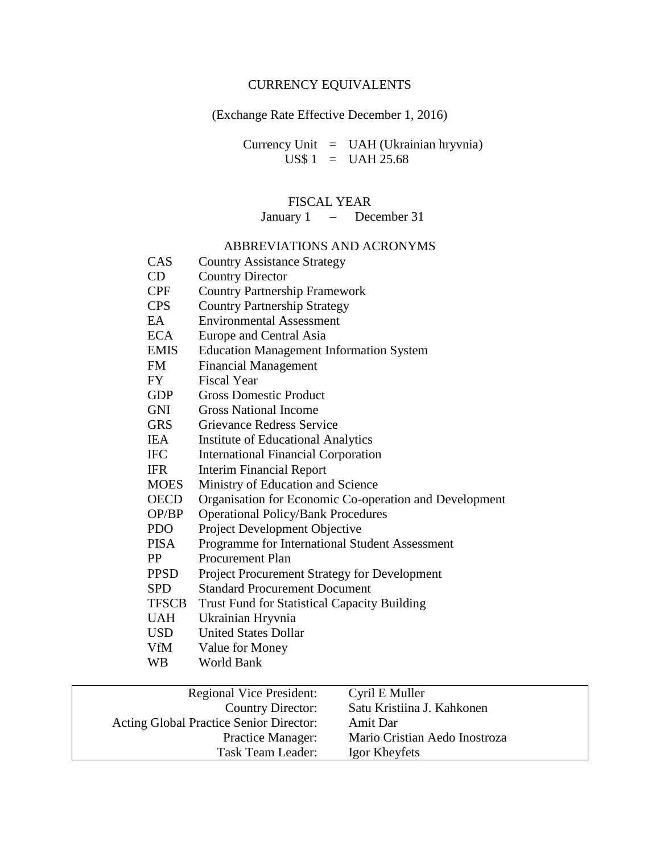## CURRENCY EQUIVALENTS

# (Exchange Rate Effective December 1, 2016)

Currency Unit = UAH (Ukrainian hryvnia)  $US$ 1 = UAH 25.68$ 

# FISCAL YEAR

January 1 – December 31

## ABBREVIATIONS AND ACRONYMS

| CAS          | <b>Country Assistance Strategy</b>                     |
|--------------|--------------------------------------------------------|
| CD           | <b>Country Director</b>                                |
| <b>CPF</b>   | <b>Country Partnership Framework</b>                   |
| <b>CPS</b>   | <b>Country Partnership Strategy</b>                    |
| EA.          | <b>Environmental Assessment</b>                        |
| <b>ECA</b>   | Europe and Central Asia                                |
| <b>EMIS</b>  | <b>Education Management Information System</b>         |
| FM           | <b>Financial Management</b>                            |
| <b>FY</b>    | <b>Fiscal Year</b>                                     |
| <b>GDP</b>   | <b>Gross Domestic Product</b>                          |
| <b>GNI</b>   | <b>Gross National Income</b>                           |
| <b>GRS</b>   | <b>Grievance Redress Service</b>                       |
| <b>IEA</b>   | <b>Institute of Educational Analytics</b>              |
| <b>IFC</b>   | <b>International Financial Corporation</b>             |
| <b>IFR</b>   | <b>Interim Financial Report</b>                        |
| <b>MOES</b>  | Ministry of Education and Science                      |
| <b>OECD</b>  | Organisation for Economic Co-operation and Development |
| OP/BP        | <b>Operational Policy/Bank Procedures</b>              |
| <b>PDO</b>   | Project Development Objective                          |
| <b>PISA</b>  | Programme for International Student Assessment         |
| <b>PP</b>    | <b>Procurement Plan</b>                                |
| <b>PPSD</b>  | <b>Project Procurement Strategy for Development</b>    |
| <b>SPD</b>   | <b>Standard Procurement Document</b>                   |
| <b>TFSCB</b> | <b>Trust Fund for Statistical Capacity Building</b>    |
| <b>UAH</b>   | Ukrainian Hryvnia                                      |
| <b>USD</b>   | <b>United States Dollar</b>                            |
| <b>VfM</b>   | Value for Money                                        |
| <b>WB</b>    | <b>World Bank</b>                                      |
|              | Cyril E Muller<br><b>Regional Vice President:</b>      |
|              | Satu Kristiina J. Kahkonen<br><b>Country Director:</b> |
|              |                                                        |

| Country Director:                              | Satu Kristiina J. Kahkonen    |  |
|------------------------------------------------|-------------------------------|--|
| <b>Acting Global Practice Senior Director:</b> | Amit Dar                      |  |
| <b>Practice Manager:</b>                       | Mario Cristian Aedo Inostroza |  |
| Task Team Leader:                              | Igor Kheyfets                 |  |
|                                                |                               |  |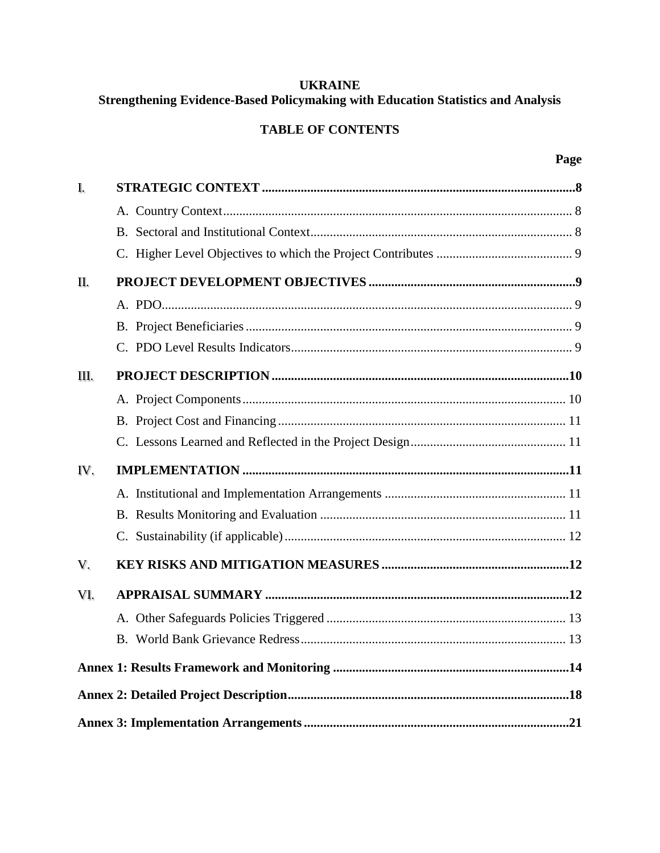# **UKRAINE** Strengthening Evidence-Based Policymaking with Education Statistics and Analysis

# **TABLE OF CONTENTS**

| I.  |  |
|-----|--|
|     |  |
|     |  |
|     |  |
| II. |  |
|     |  |
|     |  |
|     |  |
| Ш.  |  |
|     |  |
|     |  |
|     |  |
|     |  |
| IV. |  |
|     |  |
|     |  |
|     |  |
| V.  |  |
| VI. |  |
|     |  |
|     |  |
|     |  |
|     |  |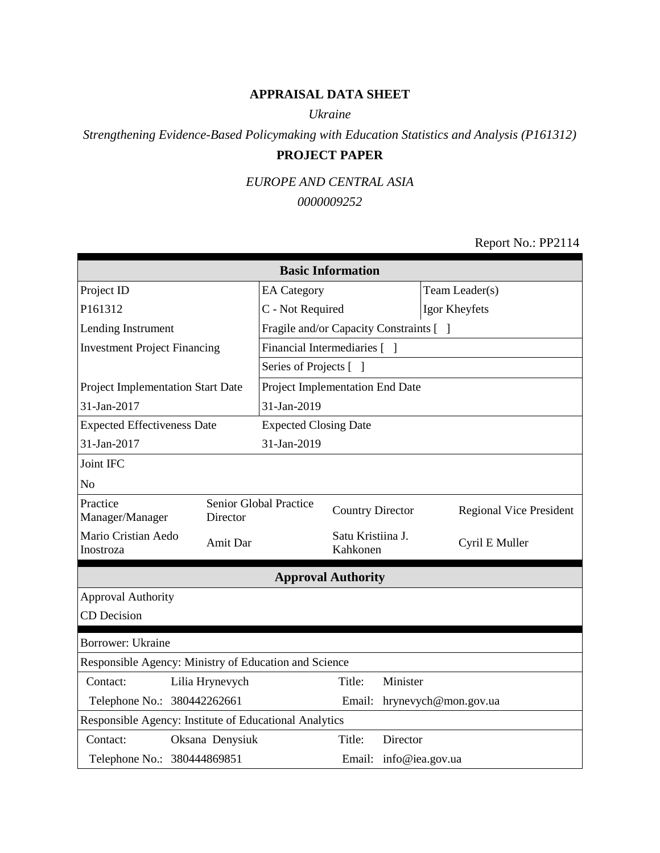# **APPRAISAL DATA SHEET**

#### *Ukraine*

# *Strengthening Evidence-Based Policymaking with Education Statistics and Analysis (P161312)* **PROJECT PAPER**

## *EUROPE AND CENTRAL ASIA*

#### *0000009252*

#### Report No.: PP2114

| <b>Basic Information</b>                               |                                                       |                                         |                               |                      |                                |  |
|--------------------------------------------------------|-------------------------------------------------------|-----------------------------------------|-------------------------------|----------------------|--------------------------------|--|
| Project ID                                             | <b>EA</b> Category                                    |                                         |                               | Team Leader(s)       |                                |  |
| P161312                                                |                                                       | C - Not Required                        |                               |                      | Igor Kheyfets                  |  |
| Lending Instrument                                     |                                                       | Fragile and/or Capacity Constraints [ ] |                               |                      |                                |  |
| <b>Investment Project Financing</b>                    |                                                       | Financial Intermediaries [ ]            |                               |                      |                                |  |
|                                                        |                                                       | Series of Projects [ ]                  |                               |                      |                                |  |
| Project Implementation Start Date                      |                                                       | Project Implementation End Date         |                               |                      |                                |  |
| 31-Jan-2017                                            |                                                       | 31-Jan-2019                             |                               |                      |                                |  |
| <b>Expected Effectiveness Date</b>                     |                                                       | <b>Expected Closing Date</b>            |                               |                      |                                |  |
| 31-Jan-2017                                            |                                                       | 31-Jan-2019                             |                               |                      |                                |  |
| Joint IFC                                              |                                                       |                                         |                               |                      |                                |  |
| N <sub>o</sub>                                         |                                                       |                                         |                               |                      |                                |  |
| Practice<br>Manager/Manager                            | Director                                              | Senior Global Practice                  | <b>Country Director</b>       |                      | <b>Regional Vice President</b> |  |
| Mario Cristian Aedo<br>Inostroza                       | Amit Dar                                              |                                         | Satu Kristiina J.<br>Kahkonen |                      | Cyril E Muller                 |  |
|                                                        |                                                       |                                         | <b>Approval Authority</b>     |                      |                                |  |
| <b>Approval Authority</b>                              |                                                       |                                         |                               |                      |                                |  |
| CD Decision                                            |                                                       |                                         |                               |                      |                                |  |
| <b>Borrower: Ukraine</b>                               |                                                       |                                         |                               |                      |                                |  |
|                                                        | Responsible Agency: Ministry of Education and Science |                                         |                               |                      |                                |  |
| Contact:                                               | Lilia Hrynevych                                       |                                         | Title:                        | Minister             |                                |  |
| Telephone No.: 380442262661                            |                                                       | Email:                                  |                               | hrynevych@mon.gov.ua |                                |  |
| Responsible Agency: Institute of Educational Analytics |                                                       |                                         |                               |                      |                                |  |
| Contact:                                               | Oksana Denysiuk                                       |                                         | Title:                        | Director             |                                |  |
| Telephone No.: 380444869851                            |                                                       |                                         |                               |                      | Email: info@iea.gov.ua         |  |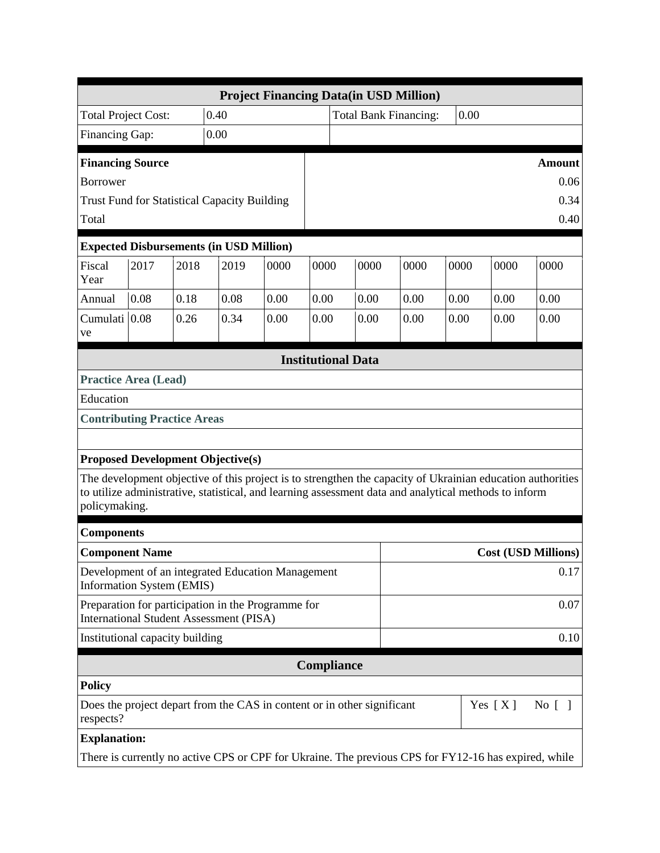|                                                                                                   | <b>Project Financing Data(in USD Million)</b> |      |                                                                                                                                                                                                                     |      |                           |  |                                                        |      |      |      |                            |
|---------------------------------------------------------------------------------------------------|-----------------------------------------------|------|---------------------------------------------------------------------------------------------------------------------------------------------------------------------------------------------------------------------|------|---------------------------|--|--------------------------------------------------------|------|------|------|----------------------------|
| <b>Total Project Cost:</b>                                                                        |                                               |      | 0.40                                                                                                                                                                                                                |      |                           |  | <b>Total Bank Financing:</b>                           |      | 0.00 |      |                            |
| Financing Gap:                                                                                    |                                               |      | 0.00                                                                                                                                                                                                                |      |                           |  |                                                        |      |      |      |                            |
| <b>Financing Source</b>                                                                           |                                               |      |                                                                                                                                                                                                                     |      |                           |  |                                                        |      |      |      | <b>Amount</b>              |
| <b>Borrower</b>                                                                                   |                                               |      |                                                                                                                                                                                                                     |      |                           |  |                                                        |      |      |      | 0.06                       |
|                                                                                                   |                                               |      | <b>Trust Fund for Statistical Capacity Building</b>                                                                                                                                                                 |      |                           |  |                                                        |      |      |      | 0.34                       |
| Total                                                                                             |                                               |      |                                                                                                                                                                                                                     |      |                           |  |                                                        |      |      |      | 0.40                       |
|                                                                                                   |                                               |      | <b>Expected Disbursements (in USD Million)</b>                                                                                                                                                                      |      |                           |  |                                                        |      |      |      |                            |
| Fiscal<br>Year                                                                                    | 2017                                          | 2018 | 2019                                                                                                                                                                                                                | 0000 | 0000                      |  | 0000                                                   | 0000 | 0000 | 0000 | 0000                       |
| Annual                                                                                            | 0.08                                          | 0.18 | 0.08                                                                                                                                                                                                                | 0.00 | 0.00                      |  | 0.00                                                   | 0.00 | 0.00 | 0.00 | 0.00                       |
| Cumulati 0.08<br>ve                                                                               |                                               | 0.26 | 0.34                                                                                                                                                                                                                | 0.00 | 0.00                      |  | 0.00                                                   | 0.00 | 0.00 | 0.00 | 0.00                       |
|                                                                                                   |                                               |      |                                                                                                                                                                                                                     |      | <b>Institutional Data</b> |  |                                                        |      |      |      |                            |
| <b>Practice Area (Lead)</b>                                                                       |                                               |      |                                                                                                                                                                                                                     |      |                           |  |                                                        |      |      |      |                            |
| Education                                                                                         |                                               |      |                                                                                                                                                                                                                     |      |                           |  |                                                        |      |      |      |                            |
| <b>Contributing Practice Areas</b>                                                                |                                               |      |                                                                                                                                                                                                                     |      |                           |  |                                                        |      |      |      |                            |
|                                                                                                   |                                               |      |                                                                                                                                                                                                                     |      |                           |  |                                                        |      |      |      |                            |
|                                                                                                   |                                               |      | <b>Proposed Development Objective(s)</b>                                                                                                                                                                            |      |                           |  |                                                        |      |      |      |                            |
| policymaking.                                                                                     |                                               |      | The development objective of this project is to strengthen the capacity of Ukrainian education authorities<br>to utilize administrative, statistical, and learning assessment data and analytical methods to inform |      |                           |  |                                                        |      |      |      |                            |
| <b>Components</b>                                                                                 |                                               |      |                                                                                                                                                                                                                     |      |                           |  |                                                        |      |      |      |                            |
| <b>Component Name</b>                                                                             |                                               |      |                                                                                                                                                                                                                     |      |                           |  |                                                        |      |      |      | <b>Cost (USD Millions)</b> |
| Information System (EMIS)                                                                         |                                               |      | Development of an integrated Education Management                                                                                                                                                                   |      |                           |  |                                                        | 0.17 |      |      |                            |
|                                                                                                   |                                               |      | Preparation for participation in the Programme for<br><b>International Student Assessment (PISA)</b>                                                                                                                |      |                           |  |                                                        |      |      |      | 0.07                       |
| Institutional capacity building                                                                   |                                               |      |                                                                                                                                                                                                                     |      |                           |  |                                                        |      |      |      | 0.10                       |
| Compliance                                                                                        |                                               |      |                                                                                                                                                                                                                     |      |                           |  |                                                        |      |      |      |                            |
| <b>Policy</b>                                                                                     |                                               |      |                                                                                                                                                                                                                     |      |                           |  |                                                        |      |      |      |                            |
| Does the project depart from the CAS in content or in other significant<br>Yes $[X]$<br>respects? |                                               |      |                                                                                                                                                                                                                     |      |                           |  | $\rm No$ $\left[ \begin{array}{c} \end{array} \right]$ |      |      |      |                            |
| <b>Explanation:</b>                                                                               |                                               |      |                                                                                                                                                                                                                     |      |                           |  |                                                        |      |      |      |                            |
|                                                                                                   |                                               |      | There is currently no active CPS or CPF for Ukraine. The previous CPS for FY12-16 has expired, while                                                                                                                |      |                           |  |                                                        |      |      |      |                            |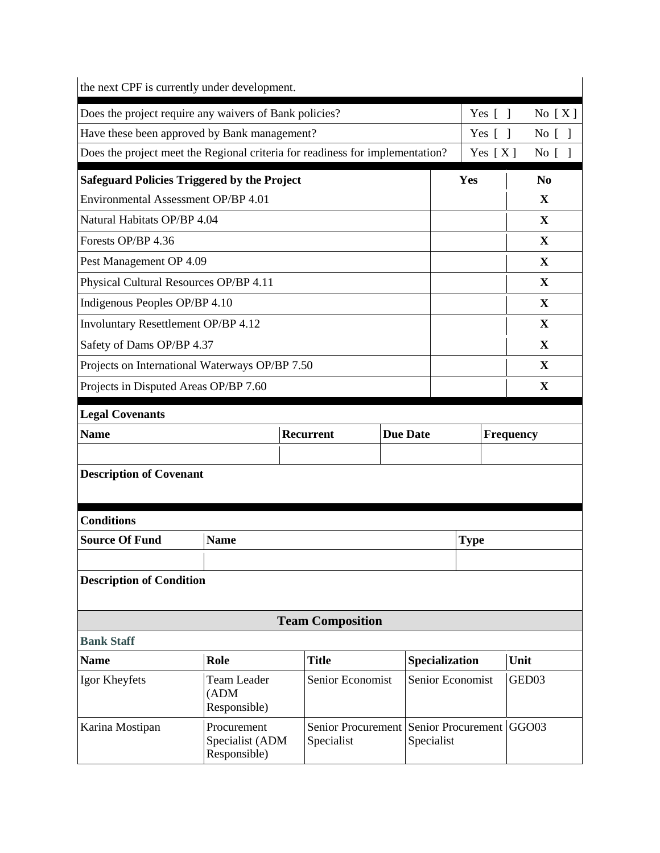| the next CPF is currently under development.                                  |                                                |  |                                                     |  |                 |           |                  |                |                   |                |
|-------------------------------------------------------------------------------|------------------------------------------------|--|-----------------------------------------------------|--|-----------------|-----------|------------------|----------------|-------------------|----------------|
| Does the project require any waivers of Bank policies?<br>Yes $[ ]$           |                                                |  |                                                     |  |                 |           |                  |                |                   | No $[X]$       |
| Have these been approved by Bank management?                                  |                                                |  |                                                     |  |                 |           |                  | Yes $\lceil$ 1 |                   | No $\lceil$    |
| Does the project meet the Regional criteria for readiness for implementation? |                                                |  |                                                     |  |                 |           |                  | Yes $[X]$      |                   | No [ ]         |
| <b>Safeguard Policies Triggered by the Project</b>                            |                                                |  |                                                     |  |                 |           | Yes              |                |                   | N <sub>0</sub> |
| Environmental Assessment OP/BP 4.01                                           |                                                |  |                                                     |  |                 |           |                  |                |                   | X              |
| Natural Habitats OP/BP 4.04                                                   |                                                |  |                                                     |  |                 |           |                  |                |                   | X              |
| Forests OP/BP 4.36                                                            |                                                |  |                                                     |  |                 |           |                  |                |                   | $\mathbf{X}$   |
| Pest Management OP 4.09                                                       |                                                |  |                                                     |  |                 |           |                  |                |                   | $\mathbf{X}$   |
| Physical Cultural Resources OP/BP 4.11                                        |                                                |  |                                                     |  |                 |           |                  |                |                   | X              |
| Indigenous Peoples OP/BP 4.10                                                 |                                                |  |                                                     |  |                 |           |                  |                |                   | X              |
| Involuntary Resettlement OP/BP 4.12                                           |                                                |  |                                                     |  |                 |           |                  |                |                   | X              |
| Safety of Dams OP/BP 4.37                                                     |                                                |  |                                                     |  |                 |           |                  |                |                   | X              |
| Projects on International Waterways OP/BP 7.50                                |                                                |  |                                                     |  |                 |           |                  |                |                   | X              |
| Projects in Disputed Areas OP/BP 7.60                                         |                                                |  |                                                     |  |                 |           |                  |                |                   | X              |
| <b>Legal Covenants</b>                                                        |                                                |  |                                                     |  |                 |           |                  |                |                   |                |
| <b>Name</b>                                                                   |                                                |  | <b>Recurrent</b>                                    |  | <b>Due Date</b> | Frequency |                  |                |                   |                |
|                                                                               |                                                |  |                                                     |  |                 |           |                  |                |                   |                |
| <b>Description of Covenant</b>                                                |                                                |  |                                                     |  |                 |           |                  |                |                   |                |
| <b>Conditions</b>                                                             |                                                |  |                                                     |  |                 |           |                  |                |                   |                |
| <b>Source Of Fund</b>                                                         | <b>Name</b>                                    |  |                                                     |  |                 |           | <b>Type</b>      |                |                   |                |
|                                                                               |                                                |  |                                                     |  |                 |           |                  |                |                   |                |
| <b>Description of Condition</b>                                               |                                                |  |                                                     |  |                 |           |                  |                |                   |                |
| <b>Team Composition</b>                                                       |                                                |  |                                                     |  |                 |           |                  |                |                   |                |
| <b>Bank Staff</b>                                                             |                                                |  |                                                     |  |                 |           |                  |                |                   |                |
| <b>Name</b>                                                                   | Role                                           |  | <b>Title</b>                                        |  | Specialization  |           |                  |                | Unit              |                |
| Igor Kheyfets                                                                 | <b>Team Leader</b><br>(ADM)<br>Responsible)    |  | Senior Economist                                    |  |                 |           | Senior Economist |                | GED <sub>03</sub> |                |
| Karina Mostipan                                                               | Procurement<br>Specialist (ADM<br>Responsible) |  | Senior Procurement Senior Procurement<br>Specialist |  | Specialist      |           |                  |                | GGO03             |                |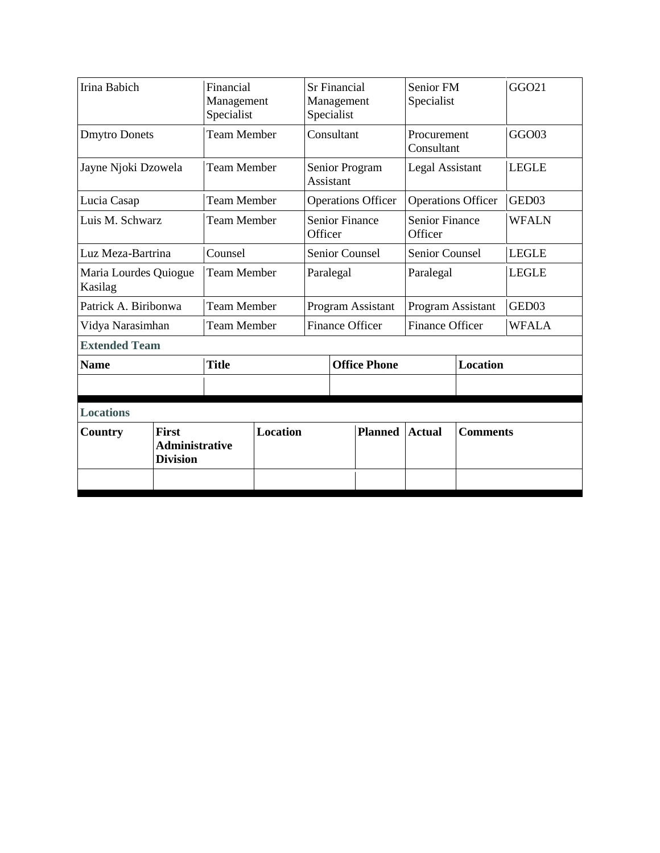| Irina Babich                                                               |  | Financial<br>Management<br>Specialist | <b>Sr Financial</b><br>Management<br>Specialist |                                  |                           | Senior FM<br>Specialist          |                   | GGO21        |  |
|----------------------------------------------------------------------------|--|---------------------------------------|-------------------------------------------------|----------------------------------|---------------------------|----------------------------------|-------------------|--------------|--|
| <b>Dmytro Donets</b>                                                       |  | <b>Team Member</b>                    |                                                 | Consultant                       |                           | Procurement<br>Consultant        |                   | GGO03        |  |
| Jayne Njoki Dzowela                                                        |  | <b>Team Member</b>                    |                                                 | Senior Program<br>Assistant      |                           | <b>Legal Assistant</b>           |                   | <b>LEGLE</b> |  |
| Lucia Casap                                                                |  | <b>Team Member</b>                    |                                                 |                                  | <b>Operations Officer</b> | <b>Operations Officer</b>        |                   | GED03        |  |
| Luis M. Schwarz                                                            |  | <b>Team Member</b>                    |                                                 | <b>Senior Finance</b><br>Officer |                           | <b>Senior Finance</b><br>Officer |                   | <b>WFALN</b> |  |
| Luz Meza-Bartrina                                                          |  | Counsel                               |                                                 | <b>Senior Counsel</b>            |                           | <b>Senior Counsel</b>            |                   | <b>LEGLE</b> |  |
| Maria Lourdes Quiogue<br>Kasilag                                           |  | <b>Team Member</b>                    |                                                 | Paralegal                        |                           | Paralegal                        |                   | <b>LEGLE</b> |  |
| Patrick A. Biribonwa                                                       |  | <b>Team Member</b>                    |                                                 |                                  | Program Assistant         |                                  | Program Assistant | GED03        |  |
| Vidya Narasimhan                                                           |  | <b>Team Member</b>                    |                                                 | <b>Finance Officer</b>           |                           | <b>Finance Officer</b>           |                   | <b>WFALA</b> |  |
| <b>Extended Team</b>                                                       |  |                                       |                                                 |                                  |                           |                                  |                   |              |  |
| <b>Name</b>                                                                |  | <b>Title</b>                          |                                                 |                                  | <b>Office Phone</b>       |                                  | <b>Location</b>   |              |  |
|                                                                            |  |                                       |                                                 |                                  |                           |                                  |                   |              |  |
| <b>Locations</b>                                                           |  |                                       |                                                 |                                  |                           |                                  |                   |              |  |
| <b>First</b><br><b>Country</b><br><b>Administrative</b><br><b>Division</b> |  | <b>Location</b>                       |                                                 | <b>Planned</b>                   | <b>Actual</b>             | <b>Comments</b>                  |                   |              |  |
|                                                                            |  |                                       |                                                 |                                  |                           |                                  |                   |              |  |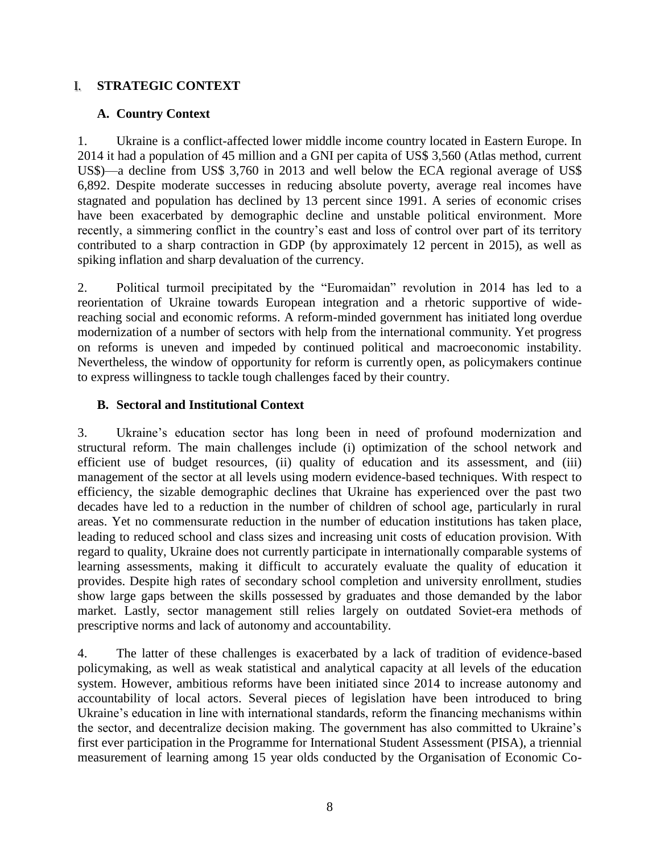## I. **STRATEGIC CONTEXT**

#### **A. Country Context**

1. Ukraine is a conflict-affected lower middle income country located in Eastern Europe. In 2014 it had a population of 45 million and a GNI per capita of US\$ 3,560 (Atlas method, current US\$)—a decline from US\$ 3,760 in 2013 and well below the ECA regional average of US\$ 6,892. Despite moderate successes in reducing absolute poverty, average real incomes have stagnated and population has declined by 13 percent since 1991. A series of economic crises have been exacerbated by demographic decline and unstable political environment. More recently, a simmering conflict in the country's east and loss of control over part of its territory contributed to a sharp contraction in GDP (by approximately 12 percent in 2015), as well as spiking inflation and sharp devaluation of the currency.

2. Political turmoil precipitated by the "Euromaidan" revolution in 2014 has led to a reorientation of Ukraine towards European integration and a rhetoric supportive of widereaching social and economic reforms. A reform-minded government has initiated long overdue modernization of a number of sectors with help from the international community. Yet progress on reforms is uneven and impeded by continued political and macroeconomic instability. Nevertheless, the window of opportunity for reform is currently open, as policymakers continue to express willingness to tackle tough challenges faced by their country.

#### **B. Sectoral and Institutional Context**

3. Ukraine's education sector has long been in need of profound modernization and structural reform. The main challenges include (i) optimization of the school network and efficient use of budget resources, (ii) quality of education and its assessment, and (iii) management of the sector at all levels using modern evidence-based techniques. With respect to efficiency, the sizable demographic declines that Ukraine has experienced over the past two decades have led to a reduction in the number of children of school age, particularly in rural areas. Yet no commensurate reduction in the number of education institutions has taken place, leading to reduced school and class sizes and increasing unit costs of education provision. With regard to quality, Ukraine does not currently participate in internationally comparable systems of learning assessments, making it difficult to accurately evaluate the quality of education it provides. Despite high rates of secondary school completion and university enrollment, studies show large gaps between the skills possessed by graduates and those demanded by the labor market. Lastly, sector management still relies largely on outdated Soviet-era methods of prescriptive norms and lack of autonomy and accountability.

4. The latter of these challenges is exacerbated by a lack of tradition of evidence-based policymaking, as well as weak statistical and analytical capacity at all levels of the education system. However, ambitious reforms have been initiated since 2014 to increase autonomy and accountability of local actors. Several pieces of legislation have been introduced to bring Ukraine's education in line with international standards, reform the financing mechanisms within the sector, and decentralize decision making. The government has also committed to Ukraine's first ever participation in the Programme for International Student Assessment (PISA), a triennial measurement of learning among 15 year olds conducted by the Organisation of Economic Co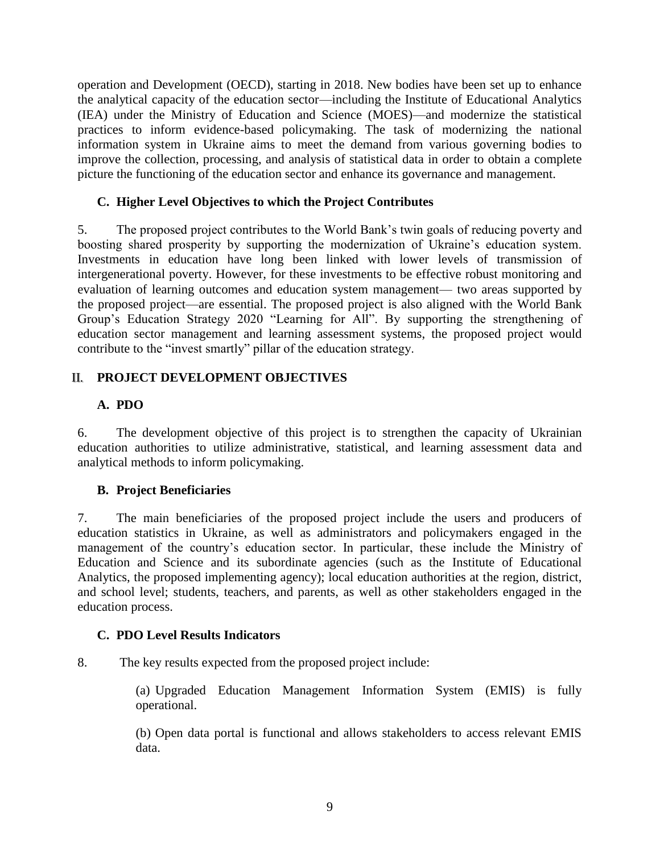operation and Development (OECD), starting in 2018. New bodies have been set up to enhance the analytical capacity of the education sector—including the Institute of Educational Analytics (IEA) under the Ministry of Education and Science (MOES)—and modernize the statistical practices to inform evidence-based policymaking. The task of modernizing the national information system in Ukraine aims to meet the demand from various governing bodies to improve the collection, processing, and analysis of statistical data in order to obtain a complete picture the functioning of the education sector and enhance its governance and management.

## **C. Higher Level Objectives to which the Project Contributes**

5. The proposed project contributes to the World Bank's twin goals of reducing poverty and boosting shared prosperity by supporting the modernization of Ukraine's education system. Investments in education have long been linked with lower levels of transmission of intergenerational poverty. However, for these investments to be effective robust monitoring and evaluation of learning outcomes and education system management— two areas supported by the proposed project—are essential. The proposed project is also aligned with the World Bank Group's Education Strategy 2020 "Learning for All". By supporting the strengthening of education sector management and learning assessment systems, the proposed project would contribute to the "invest smartly" pillar of the education strategy.

# II. **PROJECT DEVELOPMENT OBJECTIVES**

## **A. PDO**

6. The development objective of this project is to strengthen the capacity of Ukrainian education authorities to utilize administrative, statistical, and learning assessment data and analytical methods to inform policymaking.

#### **B. Project Beneficiaries**

7. The main beneficiaries of the proposed project include the users and producers of education statistics in Ukraine, as well as administrators and policymakers engaged in the management of the country's education sector. In particular, these include the Ministry of Education and Science and its subordinate agencies (such as the Institute of Educational Analytics, the proposed implementing agency); local education authorities at the region, district, and school level; students, teachers, and parents, as well as other stakeholders engaged in the education process.

#### **C. PDO Level Results Indicators**

8. The key results expected from the proposed project include:

(a) Upgraded Education Management Information System (EMIS) is fully operational.

(b) Open data portal is functional and allows stakeholders to access relevant EMIS data.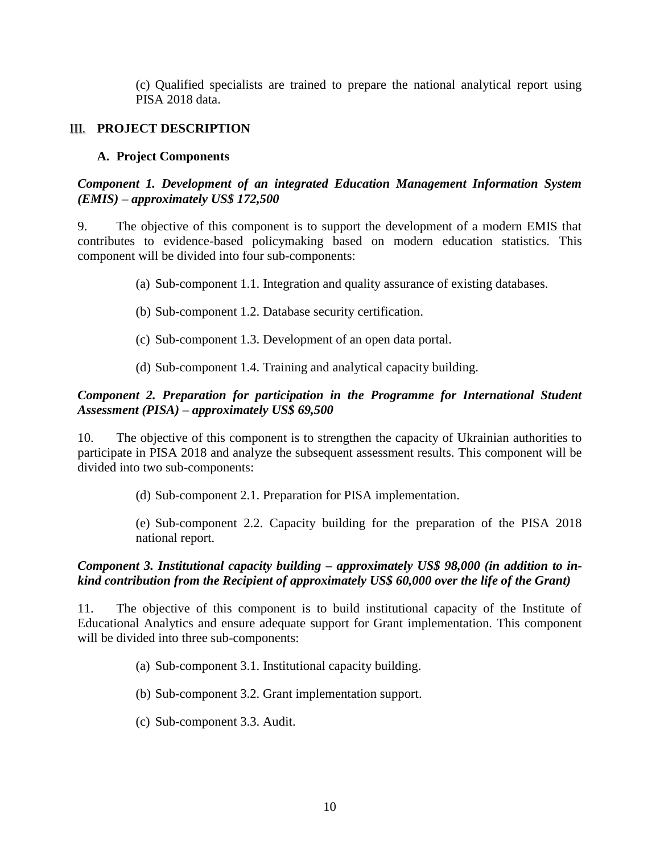(c) Qualified specialists are trained to prepare the national analytical report using PISA 2018 data.

#### III. **PROJECT DESCRIPTION**

#### **A. Project Components**

#### *Component 1. Development of an integrated Education Management Information System (EMIS) – approximately US\$ 172,500*

9. The objective of this component is to support the development of a modern EMIS that contributes to evidence-based policymaking based on modern education statistics. This component will be divided into four sub-components:

- (a) Sub-component 1.1. Integration and quality assurance of existing databases.
- (b) Sub-component 1.2. Database security certification.
- (c) Sub-component 1.3. Development of an open data portal.
- (d) Sub-component 1.4. Training and analytical capacity building.

#### *Component 2. Preparation for participation in the Programme for International Student Assessment (PISA) – approximately US\$ 69,500*

10. The objective of this component is to strengthen the capacity of Ukrainian authorities to participate in PISA 2018 and analyze the subsequent assessment results. This component will be divided into two sub-components:

(d) Sub-component 2.1. Preparation for PISA implementation.

(e) Sub-component 2.2. Capacity building for the preparation of the PISA 2018 national report.

#### *Component 3. Institutional capacity building – approximately US\$ 98,000 (in addition to inkind contribution from the Recipient of approximately US\$ 60,000 over the life of the Grant)*

11. The objective of this component is to build institutional capacity of the Institute of Educational Analytics and ensure adequate support for Grant implementation. This component will be divided into three sub-components:

- (a) Sub-component 3.1. Institutional capacity building.
- (b) Sub-component 3.2. Grant implementation support.
- (c) Sub-component 3.3. Audit.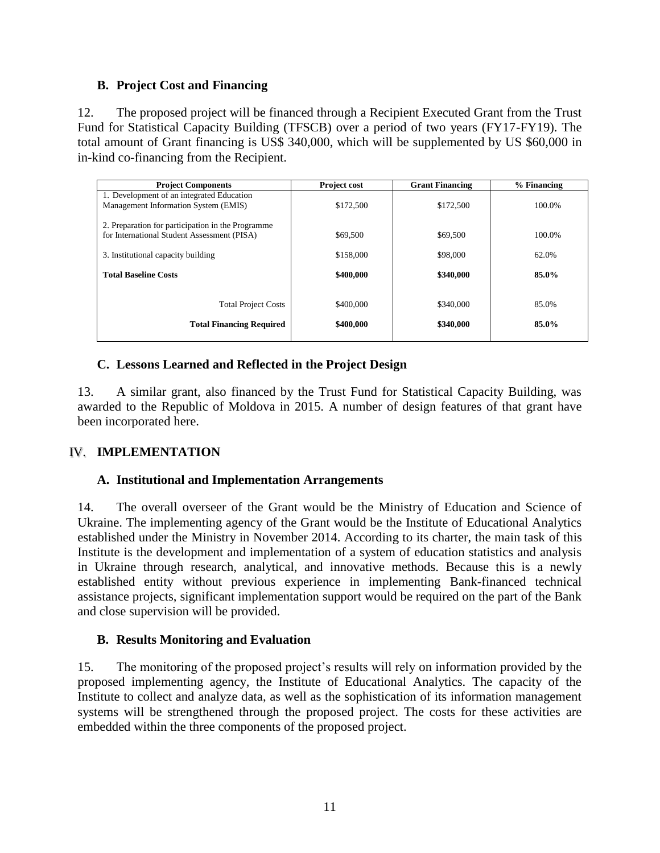#### **B. Project Cost and Financing**

12. The proposed project will be financed through a Recipient Executed Grant from the Trust Fund for Statistical Capacity Building (TFSCB) over a period of two years (FY17-FY19). The total amount of Grant financing is US\$ 340,000, which will be supplemented by US \$60,000 in in-kind co-financing from the Recipient.

| <b>Project Components</b>                         | Project cost | <b>Grant Financing</b> | $%$ Financing |
|---------------------------------------------------|--------------|------------------------|---------------|
| 1. Development of an integrated Education         |              |                        |               |
| Management Information System (EMIS)              | \$172,500    | \$172,500              | 100.0%        |
| 2. Preparation for participation in the Programme |              |                        |               |
| for International Student Assessment (PISA)       | \$69,500     | \$69,500               | 100.0%        |
|                                                   |              |                        |               |
| 3. Institutional capacity building                | \$158,000    | \$98,000               | 62.0%         |
| <b>Total Baseline Costs</b>                       | \$400,000    | \$340,000              | 85.0%         |
|                                                   |              |                        |               |
| <b>Total Project Costs</b>                        | \$400,000    | \$340,000              | 85.0%         |
| <b>Total Financing Required</b>                   | \$400,000    | \$340,000              | 85.0%         |

## **C. Lessons Learned and Reflected in the Project Design**

13. A similar grant, also financed by the Trust Fund for Statistical Capacity Building, was awarded to the Republic of Moldova in 2015. A number of design features of that grant have been incorporated here.

#### IV. **IMPLEMENTATION**

#### **A. Institutional and Implementation Arrangements**

14. The overall overseer of the Grant would be the Ministry of Education and Science of Ukraine. The implementing agency of the Grant would be the Institute of Educational Analytics established under the Ministry in November 2014. According to its charter, the main task of this Institute is the development and implementation of a system of education statistics and analysis in Ukraine through research, analytical, and innovative methods. Because this is a newly established entity without previous experience in implementing Bank-financed technical assistance projects, significant implementation support would be required on the part of the Bank and close supervision will be provided.

#### **B. Results Monitoring and Evaluation**

15. The monitoring of the proposed project's results will rely on information provided by the proposed implementing agency, the Institute of Educational Analytics. The capacity of the Institute to collect and analyze data, as well as the sophistication of its information management systems will be strengthened through the proposed project. The costs for these activities are embedded within the three components of the proposed project.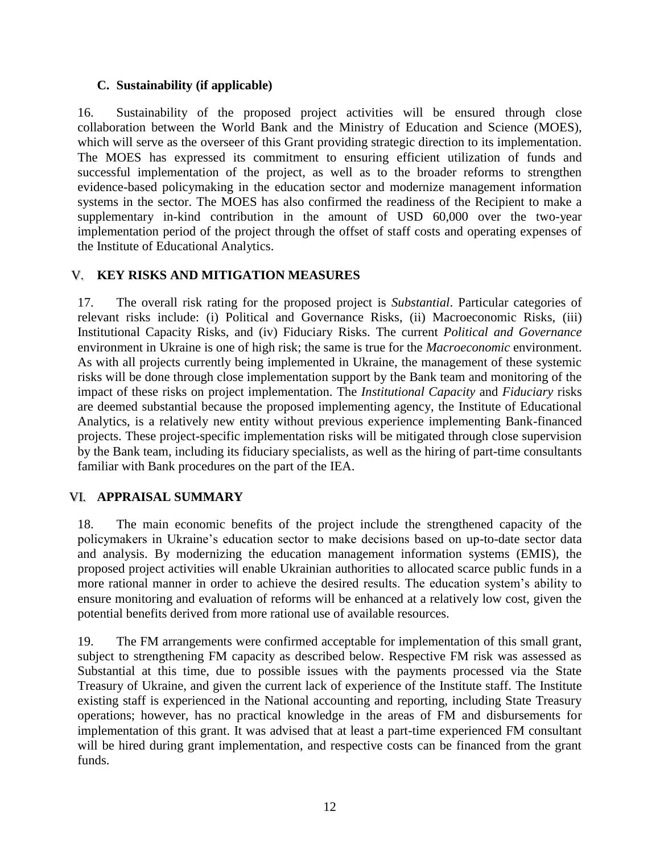#### **C. Sustainability (if applicable)**

16. Sustainability of the proposed project activities will be ensured through close collaboration between the World Bank and the Ministry of Education and Science (MOES), which will serve as the overseer of this Grant providing strategic direction to its implementation. The MOES has expressed its commitment to ensuring efficient utilization of funds and successful implementation of the project, as well as to the broader reforms to strengthen evidence-based policymaking in the education sector and modernize management information systems in the sector. The MOES has also confirmed the readiness of the Recipient to make a supplementary in-kind contribution in the amount of USD 60,000 over the two-year implementation period of the project through the offset of staff costs and operating expenses of the Institute of Educational Analytics.

#### V. **KEY RISKS AND MITIGATION MEASURES**

17. The overall risk rating for the proposed project is *Substantial*. Particular categories of relevant risks include: (i) Political and Governance Risks, (ii) Macroeconomic Risks, (iii) Institutional Capacity Risks, and (iv) Fiduciary Risks. The current *Political and Governance* environment in Ukraine is one of high risk; the same is true for the *Macroeconomic* environment. As with all projects currently being implemented in Ukraine, the management of these systemic risks will be done through close implementation support by the Bank team and monitoring of the impact of these risks on project implementation. The *Institutional Capacity* and *Fiduciary* risks are deemed substantial because the proposed implementing agency, the Institute of Educational Analytics, is a relatively new entity without previous experience implementing Bank-financed projects. These project-specific implementation risks will be mitigated through close supervision by the Bank team, including its fiduciary specialists, as well as the hiring of part-time consultants familiar with Bank procedures on the part of the IEA.

#### VI. **APPRAISAL SUMMARY**

18. The main economic benefits of the project include the strengthened capacity of the policymakers in Ukraine's education sector to make decisions based on up-to-date sector data and analysis. By modernizing the education management information systems (EMIS), the proposed project activities will enable Ukrainian authorities to allocated scarce public funds in a more rational manner in order to achieve the desired results. The education system's ability to ensure monitoring and evaluation of reforms will be enhanced at a relatively low cost, given the potential benefits derived from more rational use of available resources.

19. The FM arrangements were confirmed acceptable for implementation of this small grant, subject to strengthening FM capacity as described below. Respective FM risk was assessed as Substantial at this time, due to possible issues with the payments processed via the State Treasury of Ukraine, and given the current lack of experience of the Institute staff. The Institute existing staff is experienced in the National accounting and reporting, including State Treasury operations; however, has no practical knowledge in the areas of FM and disbursements for implementation of this grant. It was advised that at least a part-time experienced FM consultant will be hired during grant implementation, and respective costs can be financed from the grant funds.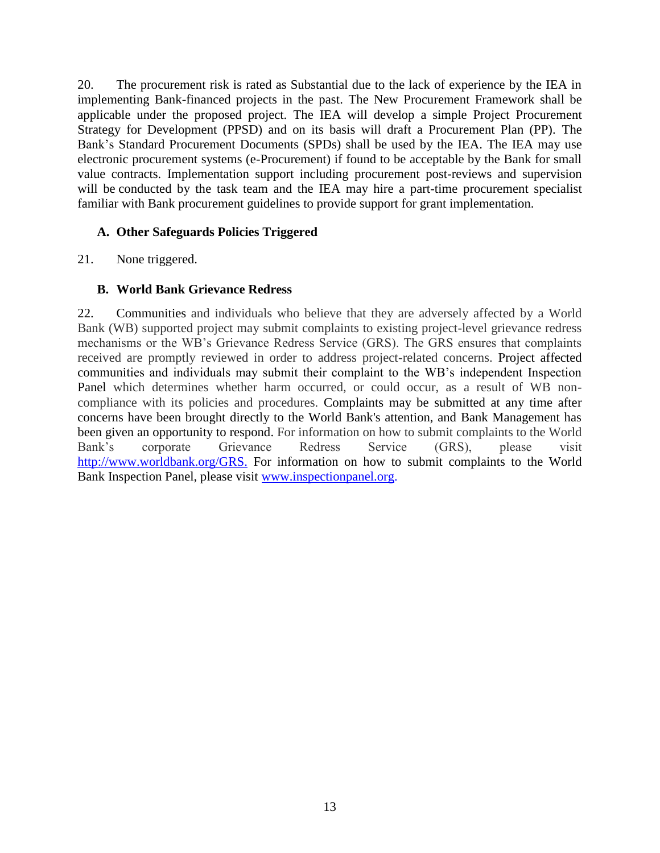20. The procurement risk is rated as Substantial due to the lack of experience by the IEA in implementing Bank-financed projects in the past. The New Procurement Framework shall be applicable under the proposed project. The IEA will develop a simple Project Procurement Strategy for Development (PPSD) and on its basis will draft a Procurement Plan (PP). The Bank's Standard Procurement Documents (SPDs) shall be used by the IEA. The IEA may use electronic procurement systems (e-Procurement) if found to be acceptable by the Bank for small value contracts. Implementation support including procurement post-reviews and supervision will be conducted by the task team and the IEA may hire a part-time procurement specialist familiar with Bank procurement guidelines to provide support for grant implementation.

#### **A. Other Safeguards Policies Triggered**

21. None triggered.

## **B. World Bank Grievance Redress**

22. Communities and individuals who believe that they are adversely affected by a World Bank (WB) supported project may submit complaints to existing project-level grievance redress mechanisms or the WB's Grievance Redress Service (GRS). The GRS ensures that complaints received are promptly reviewed in order to address project-related concerns. Project affected communities and individuals may submit their complaint to the WB's independent Inspection Panel which determines whether harm occurred, or could occur, as a result of WB noncompliance with its policies and procedures. Complaints may be submitted at any time after concerns have been brought directly to the World Bank's attention, and Bank Management has been given an opportunity to respond. For information on how to submit complaints to the World Bank's corporate Grievance Redress Service (GRS), please visit [http://www.worldbank.org/GRS.](http://www.worldbank.org/GRS.F) For information on how to submit complaints to the World Bank Inspection Panel, please visit [www.inspectionpanel.org.](http://www.inspectionpanel.org/)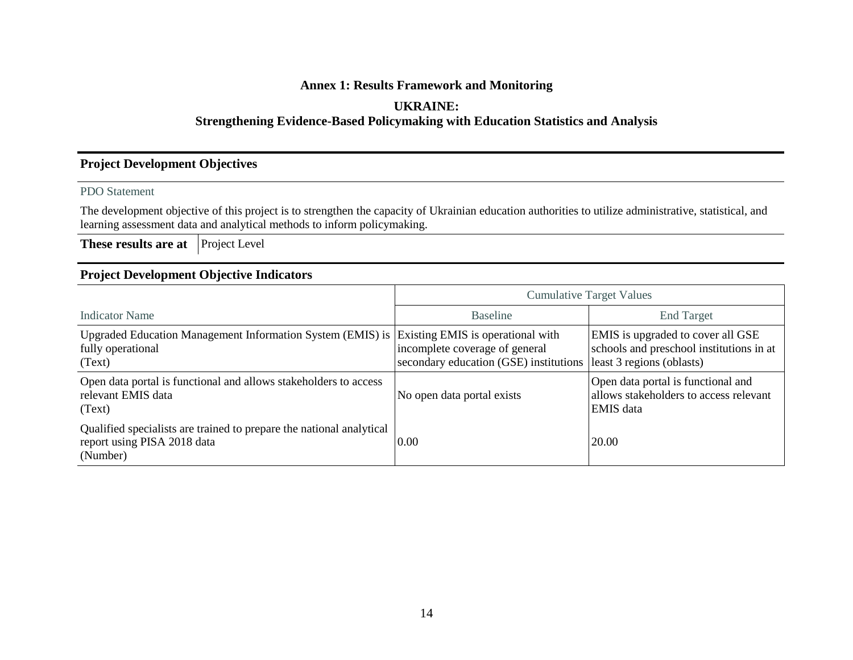## **Annex 1: Results Framework and Monitoring**

## **UKRAINE:**

#### **Strengthening Evidence-Based Policymaking with Education Statistics and Analysis**

#### **Project Development Objectives**

#### PDO Statement

The development objective of this project is to strengthen the capacity of Ukrainian education authorities to utilize administrative, statistical, and learning assessment data and analytical methods to inform policymaking.

**These results are at** Project Level

### **Project Development Objective Indicators**

|                                                                                                                             | <b>Cumulative Target Values</b>                                          |                                                                                                            |  |  |  |
|-----------------------------------------------------------------------------------------------------------------------------|--------------------------------------------------------------------------|------------------------------------------------------------------------------------------------------------|--|--|--|
| Indicator Name                                                                                                              | <b>Baseline</b>                                                          | <b>End Target</b>                                                                                          |  |  |  |
| Upgraded Education Management Information System (EMIS) is Existing EMIS is operational with<br>fully operational<br>(Text) | incomplete coverage of general<br>secondary education (GSE) institutions | EMIS is upgraded to cover all GSE<br>schools and preschool institutions in at<br>least 3 regions (oblasts) |  |  |  |
| Open data portal is functional and allows stakeholders to access<br>relevant EMIS data<br>(Text)                            | No open data portal exists                                               | Open data portal is functional and<br>allows stakeholders to access relevant<br><b>EMIS</b> data           |  |  |  |
| Qualified specialists are trained to prepare the national analytical<br>report using PISA 2018 data<br>(Number)             | 0.00                                                                     | 20.00                                                                                                      |  |  |  |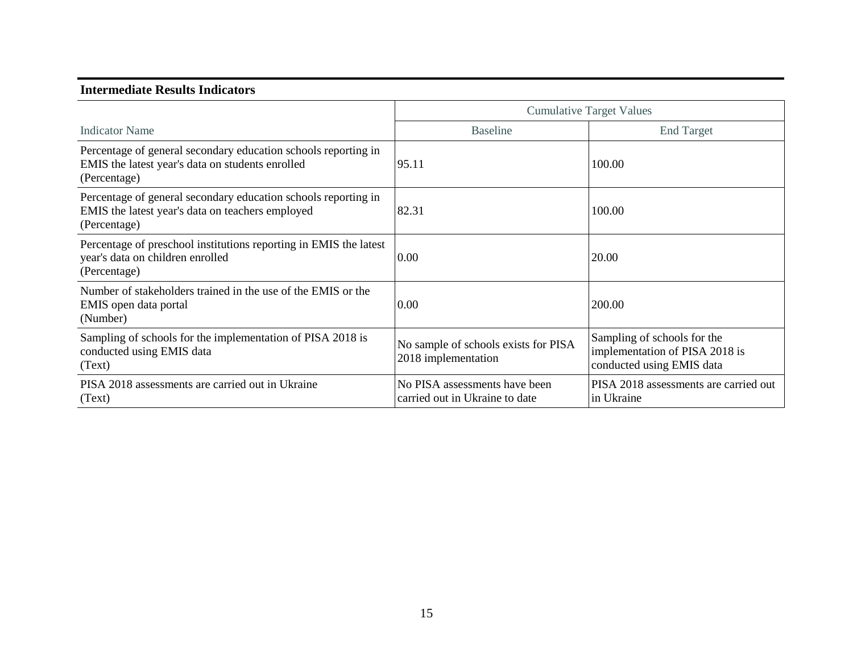#### **Intermediate Results Indicators**

|                                                                                                                                    |                                                                 | <b>Cumulative Target Values</b>                                                            |  |
|------------------------------------------------------------------------------------------------------------------------------------|-----------------------------------------------------------------|--------------------------------------------------------------------------------------------|--|
| <b>Indicator Name</b>                                                                                                              | <b>Baseline</b>                                                 | <b>End Target</b>                                                                          |  |
| Percentage of general secondary education schools reporting in<br>EMIS the latest year's data on students enrolled<br>(Percentage) | 95.11                                                           | 100.00                                                                                     |  |
| Percentage of general secondary education schools reporting in<br>EMIS the latest year's data on teachers employed<br>(Percentage) | 82.31                                                           | 100.00                                                                                     |  |
| Percentage of preschool institutions reporting in EMIS the latest<br>year's data on children enrolled<br>(Percentage)              | 0.00                                                            | 20.00                                                                                      |  |
| Number of stakeholders trained in the use of the EMIS or the<br>EMIS open data portal<br>(Number)                                  | 0.00                                                            | 200.00                                                                                     |  |
| Sampling of schools for the implementation of PISA 2018 is<br>conducted using EMIS data<br>(Text)                                  | No sample of schools exists for PISA<br>2018 implementation     | Sampling of schools for the<br>implementation of PISA 2018 is<br>conducted using EMIS data |  |
| PISA 2018 assessments are carried out in Ukraine<br>(Text)                                                                         | No PISA assessments have been<br>carried out in Ukraine to date | PISA 2018 assessments are carried out<br>in Ukraine                                        |  |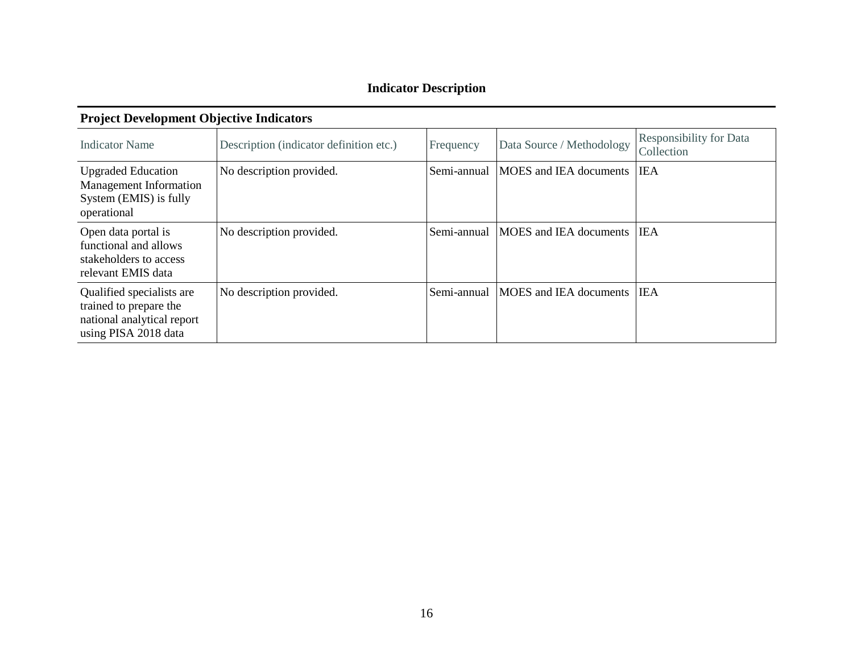# **Indicator Description**

| <b>Indicator Name</b>                                                                                     | Description (indicator definition etc.) | Frequency   | Data Source / Methodology            | <b>Responsibility for Data</b><br>Collection |
|-----------------------------------------------------------------------------------------------------------|-----------------------------------------|-------------|--------------------------------------|----------------------------------------------|
| <b>Upgraded Education</b><br>Management Information<br>System (EMIS) is fully<br>operational              | No description provided.                | Semi-annual | MOES and IEA documents               | <b>IEA</b>                                   |
| Open data portal is<br>functional and allows<br>stakeholders to access<br>relevant EMIS data              | No description provided.                | Semi-annual | <b>MOES</b> and <b>IEA</b> documents | <b>IEA</b>                                   |
| Qualified specialists are<br>trained to prepare the<br>national analytical report<br>using PISA 2018 data | No description provided.                | Semi-annual | <b>MOES</b> and IEA documents        | <b>IEA</b>                                   |

## **Project Development Objective Indicators**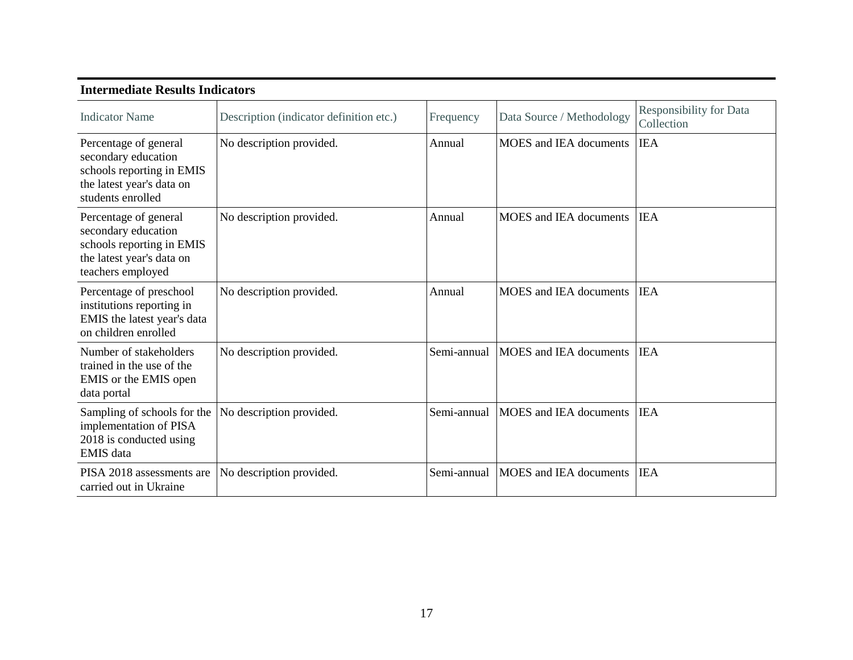| Intermediate Results Indicators                                                                                             |                                         |             |                                      |                                              |  |  |
|-----------------------------------------------------------------------------------------------------------------------------|-----------------------------------------|-------------|--------------------------------------|----------------------------------------------|--|--|
| <b>Indicator Name</b>                                                                                                       | Description (indicator definition etc.) | Frequency   | Data Source / Methodology            | <b>Responsibility for Data</b><br>Collection |  |  |
| Percentage of general<br>secondary education<br>schools reporting in EMIS<br>the latest year's data on<br>students enrolled | No description provided.                | Annual      | <b>MOES</b> and <b>IEA</b> documents | <b>IEA</b>                                   |  |  |
| Percentage of general<br>secondary education<br>schools reporting in EMIS<br>the latest year's data on<br>teachers employed | No description provided.                | Annual      | <b>MOES</b> and <b>IEA</b> documents | <b>IEA</b>                                   |  |  |
| Percentage of preschool<br>institutions reporting in<br>EMIS the latest year's data<br>on children enrolled                 | No description provided.                | Annual      | <b>MOES</b> and <b>IEA</b> documents | <b>IEA</b>                                   |  |  |
| Number of stakeholders<br>trained in the use of the<br>EMIS or the EMIS open<br>data portal                                 | No description provided.                | Semi-annual | <b>MOES</b> and <b>IEA</b> documents | <b>IEA</b>                                   |  |  |
| Sampling of schools for the<br>implementation of PISA<br>2018 is conducted using<br><b>EMIS</b> data                        | No description provided.                | Semi-annual | <b>MOES</b> and <b>IEA</b> documents | <b>IEA</b>                                   |  |  |
| PISA 2018 assessments are<br>carried out in Ukraine                                                                         | No description provided.                | Semi-annual | <b>MOES</b> and <b>IEA</b> documents | <b>IEA</b>                                   |  |  |

#### **Intermediate Results Indicators**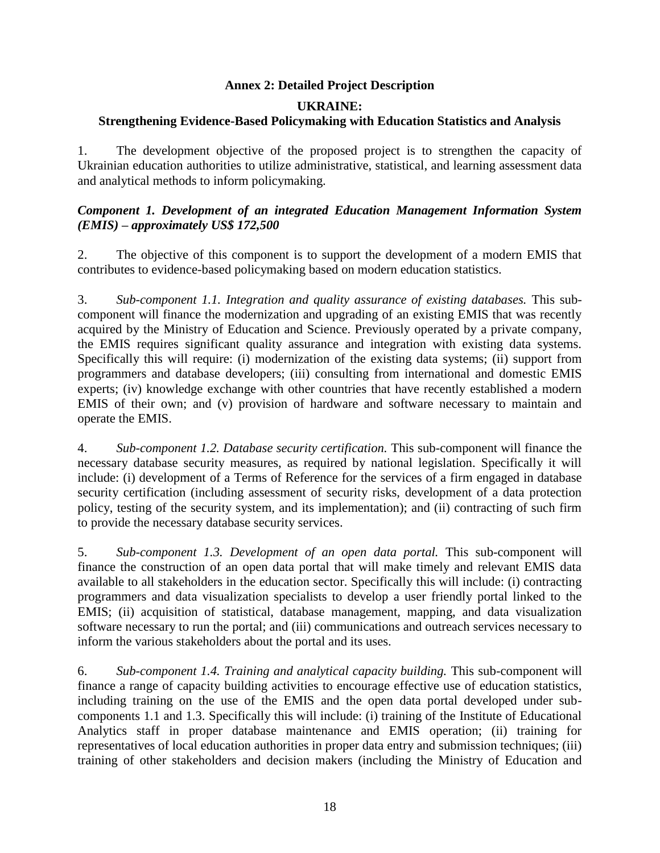#### **Annex 2: Detailed Project Description**

#### **UKRAINE:**

#### **Strengthening Evidence-Based Policymaking with Education Statistics and Analysis**

1. The development objective of the proposed project is to strengthen the capacity of Ukrainian education authorities to utilize administrative, statistical, and learning assessment data and analytical methods to inform policymaking.

#### *Component 1. Development of an integrated Education Management Information System (EMIS) – approximately US\$ 172,500*

2. The objective of this component is to support the development of a modern EMIS that contributes to evidence-based policymaking based on modern education statistics.

3. *Sub-component 1.1. Integration and quality assurance of existing databases.* This subcomponent will finance the modernization and upgrading of an existing EMIS that was recently acquired by the Ministry of Education and Science. Previously operated by a private company, the EMIS requires significant quality assurance and integration with existing data systems. Specifically this will require: (i) modernization of the existing data systems; (ii) support from programmers and database developers; (iii) consulting from international and domestic EMIS experts; (iv) knowledge exchange with other countries that have recently established a modern EMIS of their own; and (v) provision of hardware and software necessary to maintain and operate the EMIS.

4. *Sub-component 1.2. Database security certification.* This sub-component will finance the necessary database security measures, as required by national legislation. Specifically it will include: (i) development of a Terms of Reference for the services of a firm engaged in database security certification (including assessment of security risks, development of a data protection policy, testing of the security system, and its implementation); and (ii) contracting of such firm to provide the necessary database security services.

5. *Sub-component 1.3. Development of an open data portal.* This sub-component will finance the construction of an open data portal that will make timely and relevant EMIS data available to all stakeholders in the education sector. Specifically this will include: (i) contracting programmers and data visualization specialists to develop a user friendly portal linked to the EMIS; (ii) acquisition of statistical, database management, mapping, and data visualization software necessary to run the portal; and (iii) communications and outreach services necessary to inform the various stakeholders about the portal and its uses.

6. *Sub-component 1.4. Training and analytical capacity building.* This sub-component will finance a range of capacity building activities to encourage effective use of education statistics, including training on the use of the EMIS and the open data portal developed under subcomponents 1.1 and 1.3. Specifically this will include: (i) training of the Institute of Educational Analytics staff in proper database maintenance and EMIS operation; (ii) training for representatives of local education authorities in proper data entry and submission techniques; (iii) training of other stakeholders and decision makers (including the Ministry of Education and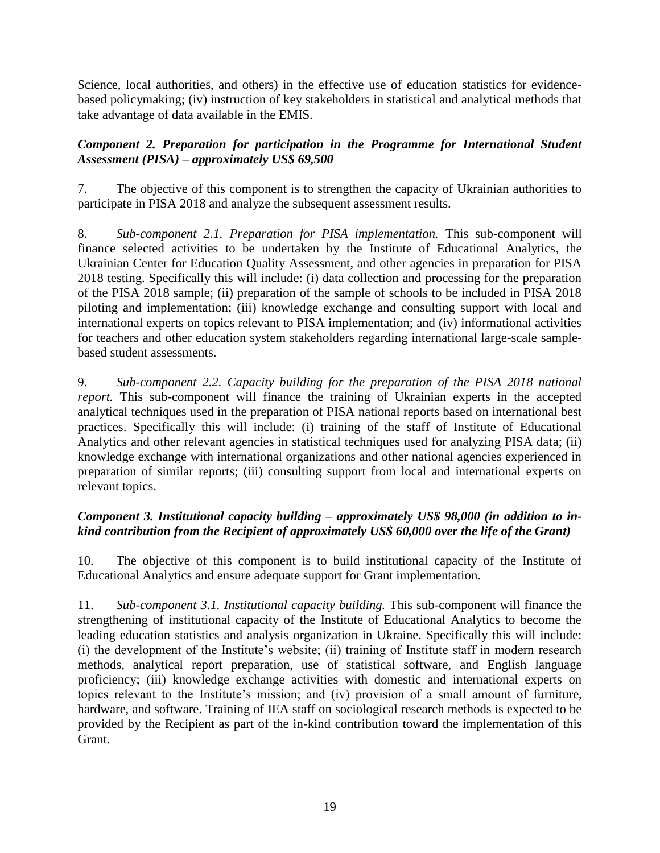Science, local authorities, and others) in the effective use of education statistics for evidencebased policymaking; (iv) instruction of key stakeholders in statistical and analytical methods that take advantage of data available in the EMIS.

## *Component 2. Preparation for participation in the Programme for International Student Assessment (PISA) – approximately US\$ 69,500*

7. The objective of this component is to strengthen the capacity of Ukrainian authorities to participate in PISA 2018 and analyze the subsequent assessment results.

8. *Sub-component 2.1. Preparation for PISA implementation.* This sub-component will finance selected activities to be undertaken by the Institute of Educational Analytics, the Ukrainian Center for Education Quality Assessment, and other agencies in preparation for PISA 2018 testing. Specifically this will include: (i) data collection and processing for the preparation of the PISA 2018 sample; (ii) preparation of the sample of schools to be included in PISA 2018 piloting and implementation; (iii) knowledge exchange and consulting support with local and international experts on topics relevant to PISA implementation; and (iv) informational activities for teachers and other education system stakeholders regarding international large-scale samplebased student assessments.

9. *Sub-component 2.2. Capacity building for the preparation of the PISA 2018 national report*. This sub-component will finance the training of Ukrainian experts in the accepted analytical techniques used in the preparation of PISA national reports based on international best practices. Specifically this will include: (i) training of the staff of Institute of Educational Analytics and other relevant agencies in statistical techniques used for analyzing PISA data; (ii) knowledge exchange with international organizations and other national agencies experienced in preparation of similar reports; (iii) consulting support from local and international experts on relevant topics.

# *Component 3. Institutional capacity building – approximately US\$ 98,000 (in addition to inkind contribution from the Recipient of approximately US\$ 60,000 over the life of the Grant)*

10. The objective of this component is to build institutional capacity of the Institute of Educational Analytics and ensure adequate support for Grant implementation.

11. *Sub-component 3.1. Institutional capacity building.* This sub-component will finance the strengthening of institutional capacity of the Institute of Educational Analytics to become the leading education statistics and analysis organization in Ukraine. Specifically this will include: (i) the development of the Institute's website; (ii) training of Institute staff in modern research methods, analytical report preparation, use of statistical software, and English language proficiency; (iii) knowledge exchange activities with domestic and international experts on topics relevant to the Institute's mission; and (iv) provision of a small amount of furniture, hardware, and software. Training of IEA staff on sociological research methods is expected to be provided by the Recipient as part of the in-kind contribution toward the implementation of this Grant.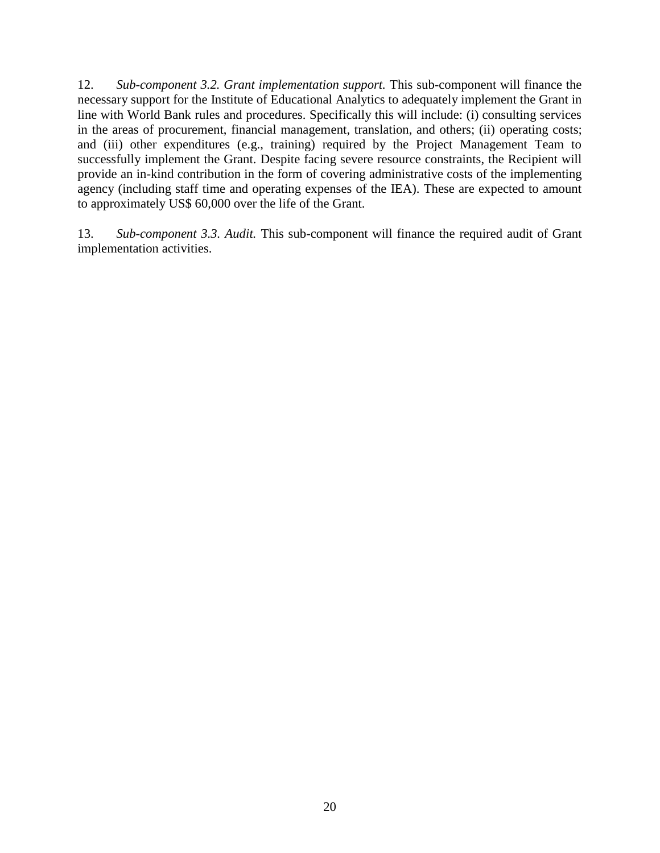12. *Sub-component 3.2. Grant implementation support.* This sub-component will finance the necessary support for the Institute of Educational Analytics to adequately implement the Grant in line with World Bank rules and procedures. Specifically this will include: (i) consulting services in the areas of procurement, financial management, translation, and others; (ii) operating costs; and (iii) other expenditures (e.g., training) required by the Project Management Team to successfully implement the Grant. Despite facing severe resource constraints, the Recipient will provide an in-kind contribution in the form of covering administrative costs of the implementing agency (including staff time and operating expenses of the IEA). These are expected to amount to approximately US\$ 60,000 over the life of the Grant.

13. *Sub-component 3.3. Audit.* This sub-component will finance the required audit of Grant implementation activities.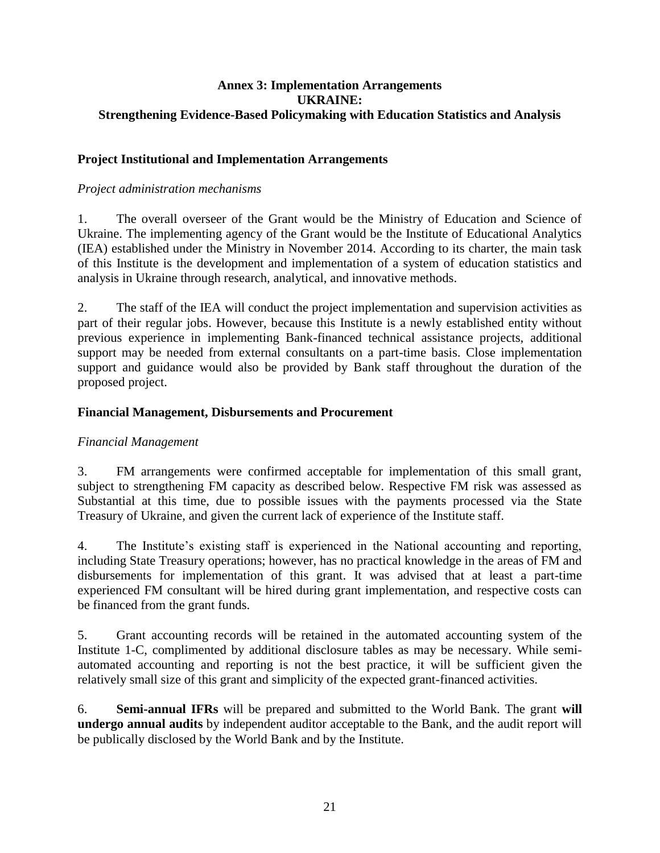#### **Annex 3: Implementation Arrangements UKRAINE: Strengthening Evidence-Based Policymaking with Education Statistics and Analysis**

#### **Project Institutional and Implementation Arrangements**

#### *Project administration mechanisms*

1. The overall overseer of the Grant would be the Ministry of Education and Science of Ukraine. The implementing agency of the Grant would be the Institute of Educational Analytics (IEA) established under the Ministry in November 2014. According to its charter, the main task of this Institute is the development and implementation of a system of education statistics and analysis in Ukraine through research, analytical, and innovative methods.

2. The staff of the IEA will conduct the project implementation and supervision activities as part of their regular jobs. However, because this Institute is a newly established entity without previous experience in implementing Bank-financed technical assistance projects, additional support may be needed from external consultants on a part-time basis. Close implementation support and guidance would also be provided by Bank staff throughout the duration of the proposed project.

#### **Financial Management, Disbursements and Procurement**

#### *Financial Management*

3. FM arrangements were confirmed acceptable for implementation of this small grant, subject to strengthening FM capacity as described below. Respective FM risk was assessed as Substantial at this time, due to possible issues with the payments processed via the State Treasury of Ukraine, and given the current lack of experience of the Institute staff.

4. The Institute's existing staff is experienced in the National accounting and reporting, including State Treasury operations; however, has no practical knowledge in the areas of FM and disbursements for implementation of this grant. It was advised that at least a part-time experienced FM consultant will be hired during grant implementation, and respective costs can be financed from the grant funds.

5. Grant accounting records will be retained in the automated accounting system of the Institute 1-C, complimented by additional disclosure tables as may be necessary. While semiautomated accounting and reporting is not the best practice, it will be sufficient given the relatively small size of this grant and simplicity of the expected grant-financed activities.

6. **Semi-annual IFRs** will be prepared and submitted to the World Bank. The grant **will undergo annual audits** by independent auditor acceptable to the Bank, and the audit report will be publically disclosed by the World Bank and by the Institute.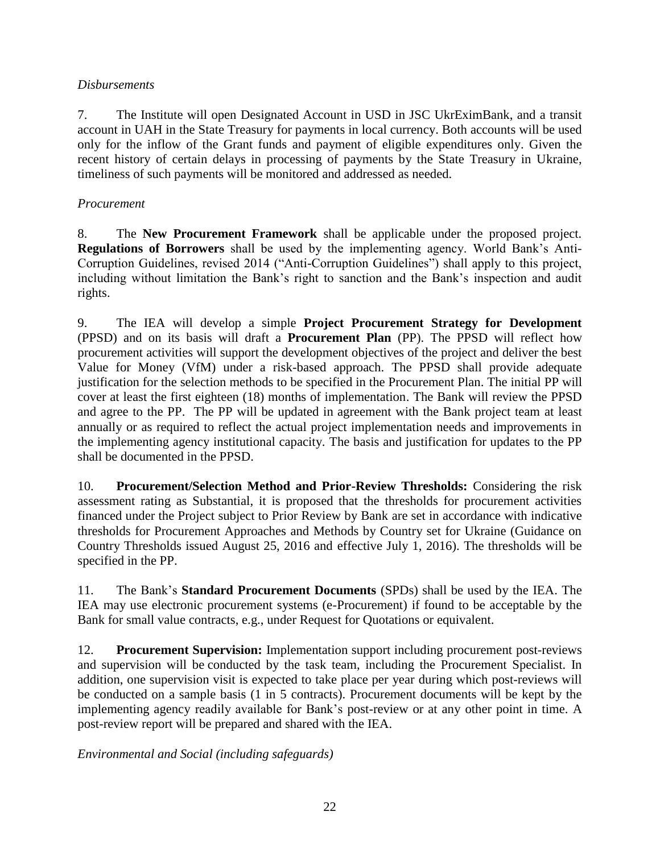### *Disbursements*

7. The Institute will open Designated Account in USD in JSC UkrEximBank, and a transit account in UAH in the State Treasury for payments in local currency. Both accounts will be used only for the inflow of the Grant funds and payment of eligible expenditures only. Given the recent history of certain delays in processing of payments by the State Treasury in Ukraine, timeliness of such payments will be monitored and addressed as needed.

## *Procurement*

8. The **New Procurement Framework** shall be applicable under the proposed project. **Regulations of Borrowers** shall be used by the implementing agency. World Bank's Anti-Corruption Guidelines, revised 2014 ("Anti-Corruption Guidelines") shall apply to this project, including without limitation the Bank's right to sanction and the Bank's inspection and audit rights.

9. The IEA will develop a simple **Project Procurement Strategy for Development** (PPSD) and on its basis will draft a **Procurement Plan** (PP). The PPSD will reflect how procurement activities will support the development objectives of the project and deliver the best Value for Money (VfM) under a risk-based approach. The PPSD shall provide adequate justification for the selection methods to be specified in the Procurement Plan. The initial PP will cover at least the first eighteen (18) months of implementation. The Bank will review the PPSD and agree to the PP. The PP will be updated in agreement with the Bank project team at least annually or as required to reflect the actual project implementation needs and improvements in the implementing agency institutional capacity. The basis and justification for updates to the PP shall be documented in the PPSD.

10. **Procurement/Selection Method and Prior-Review Thresholds:** Considering the risk assessment rating as Substantial, it is proposed that the thresholds for procurement activities financed under the Project subject to Prior Review by Bank are set in accordance with indicative thresholds for Procurement Approaches and Methods by Country set for Ukraine (Guidance on Country Thresholds issued August 25, 2016 and effective July 1, 2016). The thresholds will be specified in the PP.

11. The Bank's **Standard Procurement Documents** (SPDs) shall be used by the IEA. The IEA may use electronic procurement systems (e-Procurement) if found to be acceptable by the Bank for small value contracts, e.g., under Request for Quotations or equivalent.

12. **Procurement Supervision:** Implementation support including procurement post-reviews and supervision will be conducted by the task team, including the Procurement Specialist. In addition, one supervision visit is expected to take place per year during which post-reviews will be conducted on a sample basis (1 in 5 contracts). Procurement documents will be kept by the implementing agency readily available for Bank's post-review or at any other point in time. A post-review report will be prepared and shared with the IEA.

*Environmental and Social (including safeguards)*